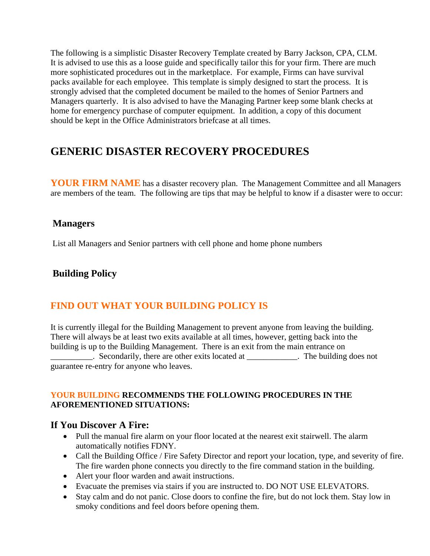The following is a simplistic Disaster Recovery Template created by Barry Jackson, CPA, CLM. It is advised to use this as a loose guide and specifically tailor this for your firm. There are much more sophisticated procedures out in the marketplace. For example, Firms can have survival packs available for each employee. This template is simply designed to start the process. It is strongly advised that the completed document be mailed to the homes of Senior Partners and Managers quarterly. It is also advised to have the Managing Partner keep some blank checks at home for emergency purchase of computer equipment. In addition, a copy of this document should be kept in the Office Administrators briefcase at all times.

# **GENERIC DISASTER RECOVERY PROCEDURES**

**YOUR FIRM NAME** has a disaster recovery plan. The Management Committee and all Managers are members of the team. The following are tips that may be helpful to know if a disaster were to occur:

### **Managers**

List all Managers and Senior partners with cell phone and home phone numbers

## **Building Policy**

## **FIND OUT WHAT YOUR BUILDING POLICY IS**

It is currently illegal for the Building Management to prevent anyone from leaving the building. There will always be at least two exits available at all times, however, getting back into the building is up to the Building Management. There is an exit from the main entrance on **Example 1.** Secondarily, there are other exits located at \_\_\_\_\_\_\_\_\_\_\_. The building does not guarantee re-entry for anyone who leaves.

#### **YOUR BUILDING RECOMMENDS THE FOLLOWING PROCEDURES IN THE AFOREMENTIONED SITUATIONS:**

### **If You Discover A Fire:**

- Pull the manual fire alarm on your floor located at the nearest exit stairwell. The alarm automatically notifies FDNY.
- Call the Building Office / Fire Safety Director and report your location, type, and severity of fire. The fire warden phone connects you directly to the fire command station in the building.
- Alert your floor warden and await instructions.
- Evacuate the premises via stairs if you are instructed to. DO NOT USE ELEVATORS.
- Stay calm and do not panic. Close doors to confine the fire, but do not lock them. Stay low in smoky conditions and feel doors before opening them.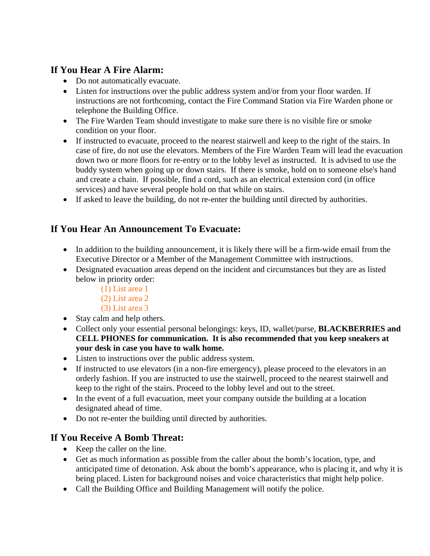## **If You Hear A Fire Alarm:**

- Do not automatically evacuate.
- Listen for instructions over the public address system and/or from your floor warden. If instructions are not forthcoming, contact the Fire Command Station via Fire Warden phone or telephone the Building Office.
- The Fire Warden Team should investigate to make sure there is no visible fire or smoke condition on your floor.
- If instructed to evacuate, proceed to the nearest stairwell and keep to the right of the stairs. In case of fire, do not use the elevators. Members of the Fire Warden Team will lead the evacuation down two or more floors for re-entry or to the lobby level as instructed. It is advised to use the buddy system when going up or down stairs. If there is smoke, hold on to someone else's hand and create a chain. If possible, find a cord, such as an electrical extension cord (in office services) and have several people hold on that while on stairs.
- If asked to leave the building, do not re-enter the building until directed by authorities.

## **If You Hear An Announcement To Evacuate:**

- In addition to the building announcement, it is likely there will be a firm-wide email from the Executive Director or a Member of the Management Committee with instructions.
- Designated evacuation areas depend on the incident and circumstances but they are as listed below in priority order:
	- (1) List area 1
	- (2) List area 2
	- (3) List area 3
- Stay calm and help others.
- Collect only your essential personal belongings: keys, ID, wallet/purse, **BLACKBERRIES and CELL PHONES for communication. It is also recommended that you keep sneakers at your desk in case you have to walk home.**
- Listen to instructions over the public address system.
- If instructed to use elevators (in a non-fire emergency), please proceed to the elevators in an orderly fashion. If you are instructed to use the stairwell, proceed to the nearest stairwell and keep to the right of the stairs. Proceed to the lobby level and out to the street.
- In the event of a full evacuation, meet your company outside the building at a location designated ahead of time.
- Do not re-enter the building until directed by authorities.

## **If You Receive A Bomb Threat:**

- Keep the caller on the line.
- Get as much information as possible from the caller about the bomb's location, type, and anticipated time of detonation. Ask about the bomb's appearance, who is placing it, and why it is being placed. Listen for background noises and voice characteristics that might help police.
- Call the Building Office and Building Management will notify the police.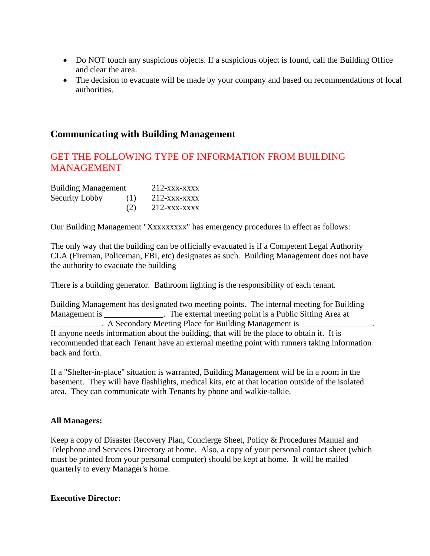- Do NOT touch any suspicious objects. If a suspicious object is found, call the Building Office and clear the area.
- The decision to evacuate will be made by your company and based on recommendations of local authorities.

## **Communicating with Building Management**

## GET THE FOLLOWING TYPE OF INFORMATION FROM BUILDING MANAGEMENT

| <b>Building Management</b> |     | $212$ -xxx-xxxx |
|----------------------------|-----|-----------------|
| Security Lobby             | (1) | $212$ -xxx-xxxx |
|                            | (2) | 212-xxx-xxxx    |

Our Building Management "Xxxxxxxxx" has emergency procedures in effect as follows:

The only way that the building can be officially evacuated is if a Competent Legal Authority CLA (Fireman, Policeman, FBI, etc) designates as such. Building Management does not have the authority to evacuate the building

There is a building generator. Bathroom lighting is the responsibility of each tenant.

Building Management has designated two meeting points. The internal meeting for Building Management is \_\_\_\_\_\_\_\_\_\_\_\_\_\_. The external meeting point is a Public Sitting Area at . A Secondary Meeting Place for Building Management is If anyone needs information about the building, that will be the place to obtain it. It is recommended that each Tenant have an external meeting point with runners taking information back and forth.

If a "Shelter-in-place" situation is warranted, Building Management will be in a room in the basement. They will have flashlights, medical kits, etc at that location outside of the isolated area. They can communicate with Tenants by phone and walkie-talkie.

#### **All Managers:**

Keep a copy of Disaster Recovery Plan, Concierge Sheet, Policy & Procedures Manual and Telephone and Services Directory at home. Also, a copy of your personal contact sheet (which must be printed from your personal computer) should be kept at home. It will be mailed quarterly to every Manager's home.

#### **Executive Director:**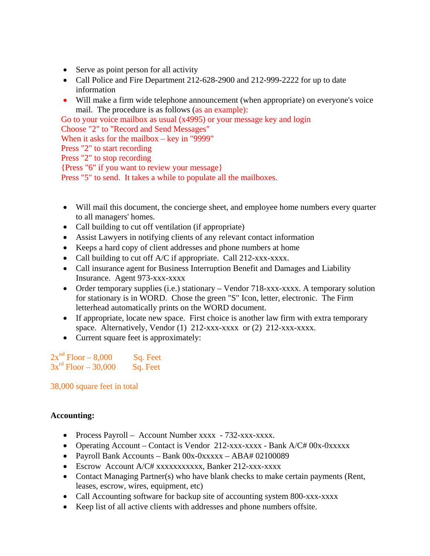- Serve as point person for all activity
- Call Police and Fire Department 212-628-2900 and 212-999-2222 for up to date information
- Will make a firm wide telephone announcement (when appropriate) on everyone's voice mail. The procedure is as follows (as an example):

 Go to your voice mailbox as usual (x4995) or your message key and login Choose "2" to "Record and Send Messages" When it asks for the mailbox – key in "9999" Press "2" to start recording Press "2" to stop recording {Press "6" if you want to review your message} Press "5" to send. It takes a while to populate all the mailboxes.

- Will mail this document, the concierge sheet, and employee home numbers every quarter to all managers' homes.
- Call building to cut off ventilation (if appropriate)
- Assist Lawyers in notifying clients of any relevant contact information
- Keeps a hard copy of client addresses and phone numbers at home
- Call building to cut off A/C if appropriate. Call 212-xxx-xxxx.
- Call insurance agent for Business Interruption Benefit and Damages and Liability Insurance. Agent 973-xxx-xxxx
- Order temporary supplies (i.e.) stationary Vendor 718-xxx-xxxx. A temporary solution for stationary is in WORD. Chose the green "S" Icon, letter, electronic. The Firm letterhead automatically prints on the WORD document.
- If appropriate, locate new space. First choice is another law firm with extra temporary space. Alternatively, Vendor (1) 212-xxx-xxxx or (2) 212-xxx-xxxx.
- Current square feet is approximately:

| $2x^{nd}$ Floor - 8,000  | Sq. Feet |
|--------------------------|----------|
| $3x^{rd}$ Floor – 30,000 | Sq. Feet |

#### 38,000 square feet in total

#### **Accounting:**

- Process Payroll Account Number xxxx 732-xxx-xxxx.
- Operating Account Contact is Vendor 212-xxx-xxxx Bank A/C# 00x-0xxxxx
- Payroll Bank Accounts Bank 00x-0xxxxx ABA# 02100089
- Escrow Account A/C# xxxxxxxxxxx, Banker 212-xxx-xxxx
- Contact Managing Partner(s) who have blank checks to make certain payments (Rent, leases, escrow, wires, equipment, etc)
- Call Accounting software for backup site of accounting system 800-xxx-xxxx
- Keep list of all active clients with addresses and phone numbers offsite.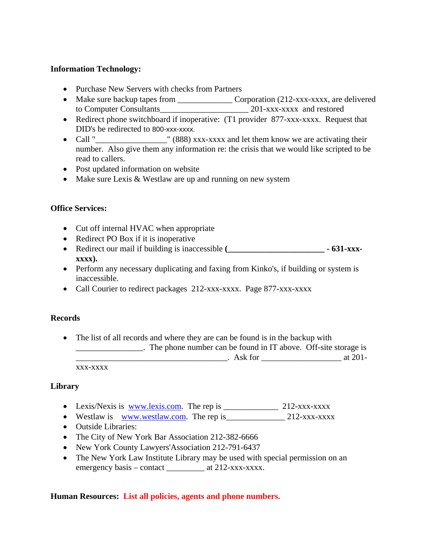#### **Information Technology:**

- Purchase New Servers with checks from Partners
- Make sure backup tapes from \_\_\_\_\_\_\_\_\_\_\_\_\_ Corporation (212-xxx-xxxx, are delivered to Computer Consultants\_\_\_\_\_\_\_\_\_\_\_\_\_\_\_\_\_\_\_\_\_ 201-xxx-xxxx and restored
- Redirect phone switchboard if inoperative: (T1 provider 877-xxx-xxxx. Request that DID's be redirected to 800-xxx-xxxx.
- Call " [888) xxx-xxxx and let them know we are activating their number. Also give them any information re: the crisis that we would like scripted to be read to callers.
- Post updated information on website
- Make sure Lexis  $&$  Westlaw are up and running on new system

#### **Office Services:**

- Cut off internal HVAC when appropriate
- Redirect PO Box if it is inoperative
- Redirect our mail if building is inaccessible **(**  $\cdot$  **631-xxx xxxx).**
- Perform any necessary duplicating and faxing from Kinko's, if building or system is inaccessible.
- Call Courier to redirect packages 212-xxx-xxxx. Page 877-xxx-xxxx

#### **Records**

• The list of all records and where they are can be found is in the backup with The phone number can be found in IT above. Off-site storage is \_\_\_\_\_\_\_\_\_\_\_\_\_\_\_\_\_\_\_\_\_\_\_\_\_\_\_\_\_\_\_\_\_\_\_\_. Ask for \_\_\_\_\_\_\_\_\_\_\_\_\_\_\_\_\_\_\_ at 201 xxx-xxxx

#### **Library**

- Lexis/Nexis is [www.lexis.com](http://www.lexis.com/). The rep is \_\_\_\_\_\_\_\_\_\_\_\_\_ 212-xxx-xxxx
- Westlaw is [www.westlaw.com.](http://www.westlaw.com/) The rep is 212-xxx-xxxx
- Outside Libraries:
- The City of New York Bar Association 212-382-6666
- New York County Lawyers'Association 212-791-6437
- The New York Law Institute Library may be used with special permission on an emergency basis – contact at 212-xxx-xxxx.

#### **Human Resources: List all policies, agents and phone numbers.**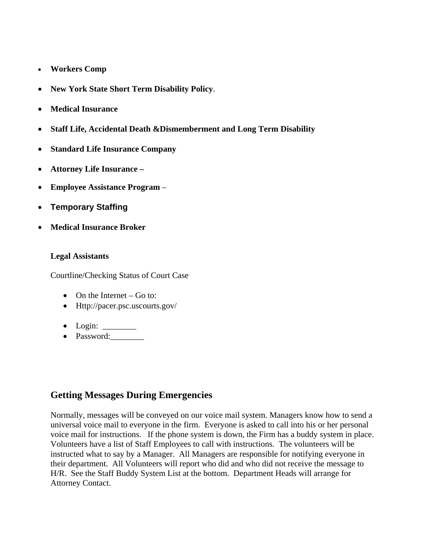- **Workers Comp**
- **New York State Short Term Disability Policy**.
- **Medical Insurance**
- **Staff Life, Accidental Death &Dismemberment and Long Term Disability**
- **Standard Life Insurance Company**
- **Attorney Life Insurance**
- **Employee Assistance Program** –
- **Temporary Staffing**
- **Medical Insurance Broker**

#### **Legal Assistants**

Courtline/Checking Status of Court Case

- On the Internet Go to:
- Http://pacer.psc.uscourts.gov/
- Login: \_\_\_\_\_\_\_\_
- Password:\_\_\_\_\_\_\_\_\_

## **Getting Messages During Emergencies**

Normally, messages will be conveyed on our voice mail system. Managers know how to send a universal voice mail to everyone in the firm. Everyone is asked to call into his or her personal voice mail for instructions. If the phone system is down, the Firm has a buddy system in place. Volunteers have a list of Staff Employees to call with instructions. The volunteers will be instructed what to say by a Manager. All Managers are responsible for notifying everyone in their department. All Volunteers will report who did and who did not receive the message to H/R. See the Staff Buddy System List at the bottom. Department Heads will arrange for Attorney Contact.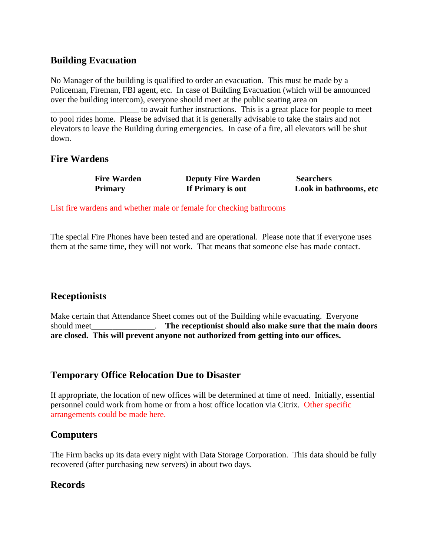### **Building Evacuation**

No Manager of the building is qualified to order an evacuation. This must be made by a Policeman, Fireman, FBI agent, etc. In case of Building Evacuation (which will be announced over the building intercom), everyone should meet at the public seating area on \_\_\_\_\_\_\_\_\_\_\_\_\_\_\_\_\_\_\_\_\_ to await further instructions. This is a great place for people to meet to pool rides home. Please be advised that it is generally advisable to take the stairs and not elevators to leave the Building during emergencies. In case of a fire, all elevators will be shut down.

### **Fire Wardens**

| <b>Fire Warden</b> | <b>Deputy Fire Warden</b> | <b>Searchers</b>       |
|--------------------|---------------------------|------------------------|
| <b>Primary</b>     | If Primary is out         | Look in bathrooms, etc |

List fire wardens and whether male or female for checking bathrooms

The special Fire Phones have been tested and are operational. Please note that if everyone uses them at the same time, they will not work. That means that someone else has made contact.

## **Receptionists**

Make certain that Attendance Sheet comes out of the Building while evacuating. Everyone should meet\_\_\_\_\_\_\_\_\_\_\_\_\_\_\_. **The receptionist should also make sure that the main doors are closed. This will prevent anyone not authorized from getting into our offices.** 

### **Temporary Office Relocation Due to Disaster**

If appropriate, the location of new offices will be determined at time of need. Initially, essential personnel could work from home or from a host office location via Citrix. Other specific arrangements could be made here.

### **Computers**

The Firm backs up its data every night with Data Storage Corporation. This data should be fully recovered (after purchasing new servers) in about two days.

### **Records**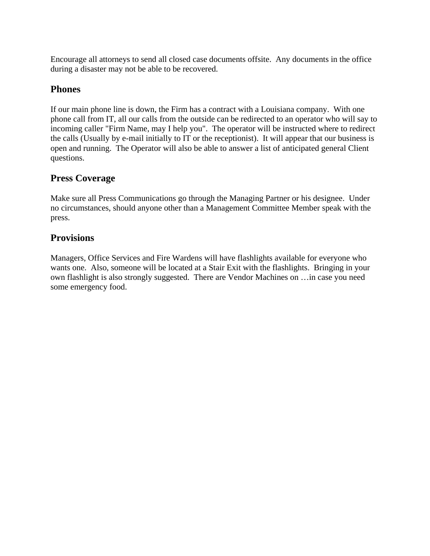Encourage all attorneys to send all closed case documents offsite. Any documents in the office during a disaster may not be able to be recovered.

### **Phones**

If our main phone line is down, the Firm has a contract with a Louisiana company. With one phone call from IT, all our calls from the outside can be redirected to an operator who will say to incoming caller "Firm Name, may I help you". The operator will be instructed where to redirect the calls (Usually by e-mail initially to IT or the receptionist). It will appear that our business is open and running. The Operator will also be able to answer a list of anticipated general Client questions.

### **Press Coverage**

Make sure all Press Communications go through the Managing Partner or his designee. Under no circumstances, should anyone other than a Management Committee Member speak with the press.

## **Provisions**

Managers, Office Services and Fire Wardens will have flashlights available for everyone who wants one. Also, someone will be located at a Stair Exit with the flashlights. Bringing in your own flashlight is also strongly suggested. There are Vendor Machines on …in case you need some emergency food.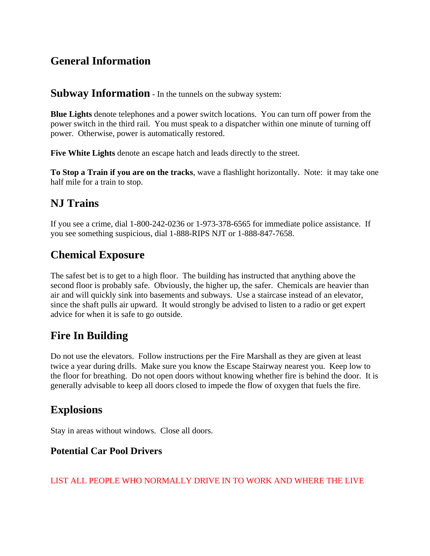# **General Information**

#### **Subway Information** - In the tunnels on the subway system:

**Blue Lights** denote telephones and a power switch locations. You can turn off power from the power switch in the third rail. You must speak to a dispatcher within one minute of turning off power. Otherwise, power is automatically restored.

**Five White Lights** denote an escape hatch and leads directly to the street.

**To Stop a Train if you are on the tracks**, wave a flashlight horizontally. Note: it may take one half mile for a train to stop.

# **NJ Trains**

If you see a crime, dial 1-800-242-0236 or 1-973-378-6565 for immediate police assistance. If you see something suspicious, dial 1-888-RIPS NJT or 1-888-847-7658.

# **Chemical Exposure**

The safest bet is to get to a high floor. The building has instructed that anything above the second floor is probably safe. Obviously, the higher up, the safer. Chemicals are heavier than air and will quickly sink into basements and subways. Use a staircase instead of an elevator, since the shaft pulls air upward. It would strongly be advised to listen to a radio or get expert advice for when it is safe to go outside.

# **Fire In Building**

Do not use the elevators. Follow instructions per the Fire Marshall as they are given at least twice a year during drills. Make sure you know the Escape Stairway nearest you. Keep low to the floor for breathing. Do not open doors without knowing whether fire is behind the door. It is generally advisable to keep all doors closed to impede the flow of oxygen that fuels the fire.

## **Explosions**

Stay in areas without windows. Close all doors.

## **Potential Car Pool Drivers**

LIST ALL PEOPLE WHO NORMALLY DRIVE IN TO WORK AND WHERE THE LIVE